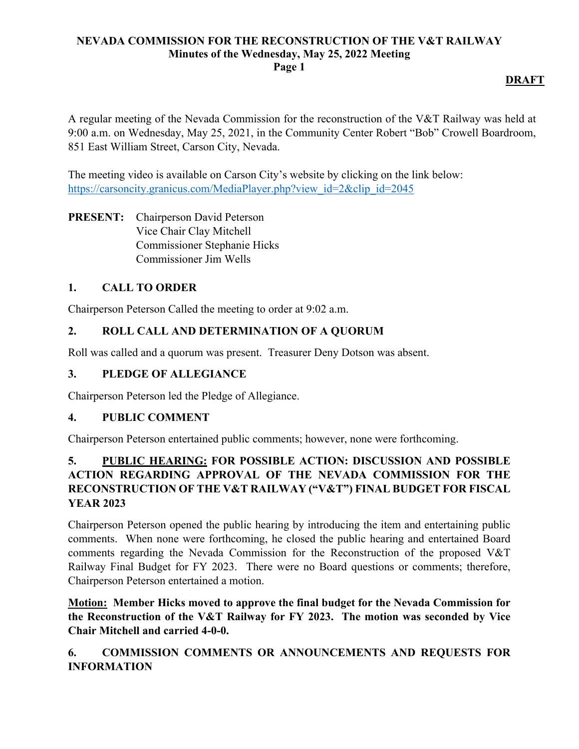### **NEVADA COMMISSION FOR THE RECONSTRUCTION OF THE V&T RAILWAY Minutes of the Wednesday, May 25, 2022 Meeting Page 1**

# **DRAFT**

A regular meeting of the Nevada Commission for the reconstruction of the V&T Railway was held at 9:00 a.m. on Wednesday, May 25, 2021, in the Community Center Robert "Bob" Crowell Boardroom, 851 East William Street, Carson City, Nevada.

The meeting video is available on Carson City's website by clicking on the link below: https://carsoncity.granicus.com/MediaPlayer.php?view\_id=2&clip\_id=2045

**PRESENT:** Chairperson David Peterson Vice Chair Clay Mitchell Commissioner Stephanie Hicks Commissioner Jim Wells

# **1. CALL TO ORDER**

Chairperson Peterson Called the meeting to order at 9:02 a.m.

# **2. ROLL CALL AND DETERMINATION OF A QUORUM**

Roll was called and a quorum was present. Treasurer Deny Dotson was absent.

## **3. PLEDGE OF ALLEGIANCE**

Chairperson Peterson led the Pledge of Allegiance.

### **4. PUBLIC COMMENT**

Chairperson Peterson entertained public comments; however, none were forthcoming.

# **5. PUBLIC HEARING: FOR POSSIBLE ACTION: DISCUSSION AND POSSIBLE ACTION REGARDING APPROVAL OF THE NEVADA COMMISSION FOR THE RECONSTRUCTION OF THE V&T RAILWAY ("V&T") FINAL BUDGET FOR FISCAL YEAR 2023**

Chairperson Peterson opened the public hearing by introducing the item and entertaining public comments. When none were forthcoming, he closed the public hearing and entertained Board comments regarding the Nevada Commission for the Reconstruction of the proposed V&T Railway Final Budget for FY 2023. There were no Board questions or comments; therefore, Chairperson Peterson entertained a motion.

**Motion: Member Hicks moved to approve the final budget for the Nevada Commission for the Reconstruction of the V&T Railway for FY 2023. The motion was seconded by Vice Chair Mitchell and carried 4-0-0.**

# **6. COMMISSION COMMENTS OR ANNOUNCEMENTS AND REQUESTS FOR INFORMATION**